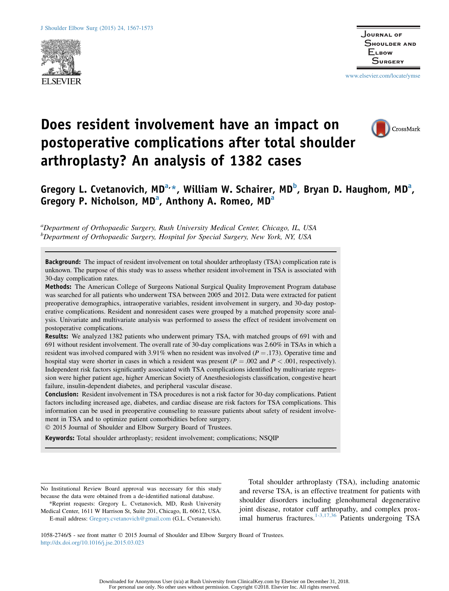

www.elsevier.com/locate/ymse

# Does resident involvement have an impact on postoperative complications after total shoulder arthroplasty? An analysis of 1382 cases



# Gregory L. Cvetanovich, MD<sup>a,</sup>\*, William W. Schairer, MD<sup>b</sup>, Bryan D. Haughom, MD<sup>a</sup>, Gregory P. Nicholson, MD<sup>a</sup>, Anthony A. Romeo, MD<sup>a</sup>

<sup>a</sup>Department of Orthopaedic Surgery, Rush University Medical Center, Chicago, IL, USA <sup>b</sup>Department of Orthopaedic Surgery, Hospital for Special Surgery, New York, NY, USA

Background: The impact of resident involvement on total shoulder arthroplasty (TSA) complication rate is unknown. The purpose of this study was to assess whether resident involvement in TSA is associated with 30-day complication rates.

Methods: The American College of Surgeons National Surgical Quality Improvement Program database was searched for all patients who underwent TSA between 2005 and 2012. Data were extracted for patient preoperative demographics, intraoperative variables, resident involvement in surgery, and 30-day postoperative complications. Resident and nonresident cases were grouped by a matched propensity score analysis. Univariate and multivariate analysis was performed to assess the effect of resident involvement on postoperative complications.

Results: We analyzed 1382 patients who underwent primary TSA, with matched groups of 691 with and 691 without resident involvement. The overall rate of 30-day complications was 2.60% in TSAs in which a resident was involved compared with 3.91% when no resident was involved  $(P = .173)$ . Operative time and hospital stay were shorter in cases in which a resident was present ( $P = .002$  and  $P < .001$ , respectively). Independent risk factors significantly associated with TSA complications identified by multivariate regression were higher patient age, higher American Society of Anesthesiologists classification, congestive heart failure, insulin-dependent diabetes, and peripheral vascular disease.

Conclusion: Resident involvement in TSA procedures is not a risk factor for 30-day complications. Patient factors including increased age, diabetes, and cardiac disease are risk factors for TSA complications. This information can be used in preoperative counseling to reassure patients about safety of resident involvement in TSA and to optimize patient comorbidities before surgery.

2015 Journal of Shoulder and Elbow Surgery Board of Trustees.

Keywords: Total shoulder arthroplasty; resident involvement; complications; NSQIP

\*Reprint requests: Gregory L. Cvetanovich, MD, Rush University Medical Center, 1611 W Harrison St, Suite 201, Chicago, IL 60612, USA. E-mail address: Gregory.cvetanovich@gmail.com (G.L. Cvetanovich).

Total shoulder arthroplasty (TSA), including anatomic and reverse TSA, is an effective treatment for patients with shoulder disorders including glenohumeral degenerative joint disease, rotator cuff arthropathy, and complex proximal humerus fractures.<sup>1-3,17,36</sup> Patients undergoing TSA

1058-2746/\$ - see front matter 2015 Journal of Shoulder and Elbow Surgery Board of Trustees. http://dx.doi.org/10.1016/j.jse.2015.03.023

No Institutional Review Board approval was necessary for this study because the data were obtained from a de-identified national database.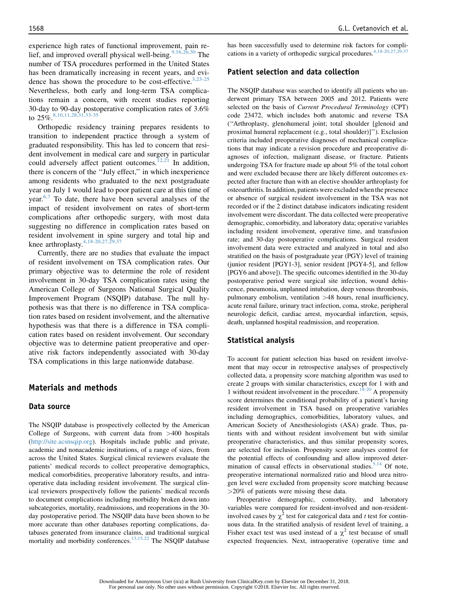experience high rates of functional improvement, pain relief, and improved overall physical well-being.  $9,16,26,30$  The number of TSA procedures performed in the United States has been dramatically increasing in recent years, and evidence has shown the procedure to be cost-effective.  $3,23-25$ Nevertheless, both early and long-term TSA complications remain a concern, with recent studies reporting 30-day to 90-day postoperative complication rates of 3.6% to 25%.<sup>8,10,11,28,31,33-35</sup>

Orthopedic residency training prepares residents to transition to independent practice through a system of graduated responsibility. This has led to concern that resident involvement in medical care and surgery in particular could adversely affect patient outcomes.<sup>12,21</sup> In addition, there is concern of the ''July effect,'' in which inexperience among residents who graduated to the next postgraduate year on July 1 would lead to poor patient care at this time of year. $6,7$  To date, there have been several analyses of the impact of resident involvement on rates of short-term complications after orthopedic surgery, with most data suggesting no difference in complication rates based on resident involvement in spine surgery and total hip and knee arthroplasty.4,18-20,27,29,37

Currently, there are no studies that evaluate the impact of resident involvement on TSA complication rates. Our primary objective was to determine the role of resident involvement in 30-day TSA complication rates using the American College of Surgeons National Surgical Quality Improvement Program (NSQIP) database. The null hypothesis was that there is no difference in TSA complication rates based on resident involvement, and the alternative hypothesis was that there is a difference in TSA complication rates based on resident involvement. Our secondary objective was to determine patient preoperative and operative risk factors independently associated with 30-day TSA complications in this large nationwide database.

# Materials and methods

#### Data source

The NSQIP database is prospectively collected by the American College of Surgeons, with current data from >400 hospitals (http://site.acsnsqip.org). Hospitals include public and private, academic and nonacademic institutions, of a range of sizes, from across the United States. Surgical clinical reviewers evaluate the patients' medical records to collect preoperative demographics, medical comorbidities, preoperative laboratory results, and intraoperative data including resident involvement. The surgical clinical reviewers prospectively follow the patients' medical records to document complications including morbidity broken down into subcategories, mortality, readmissions, and reoperations in the 30 day postoperative period. The NSQIP data have been shown to be more accurate than other databases reporting complications, databases generated from insurance claims, and traditional surgical mortality and morbidity conferences.<sup>13,15,22</sup> The NSQIP database has been successfully used to determine risk factors for complications in a variety of orthopedic surgical procedures.<sup>4,18-20,27,29,37</sup>

# Patient selection and data collection

The NSQIP database was searched to identify all patients who underwent primary TSA between 2005 and 2012. Patients were selected on the basis of Current Procedural Terminology (CPT) code 23472, which includes both anatomic and reverse TSA (''Arthroplasty, glenohumeral joint; total shoulder [glenoid and proximal humeral replacement (e.g., total shoulder)]''). Exclusion criteria included preoperative diagnoses of mechanical complications that may indicate a revision procedure and preoperative diagnoses of infection, malignant disease, or fracture. Patients undergoing TSA for fracture made up about 5% of the total cohort and were excluded because there are likely different outcomes expected after fracture than with an elective shoulder arthroplasty for osteoarthritis. In addition, patients were excluded when the presence or absence of surgical resident involvement in the TSA was not recorded or if the 2 distinct database indicators indicating resident involvement were discordant. The data collected were preoperative demographic, comorbidity, and laboratory data; operative variables including resident involvement, operative time, and transfusion rate; and 30-day postoperative complications. Surgical resident involvement data were extracted and analyzed in total and also stratified on the basis of postgraduate year (PGY) level of training (junior resident [PGY1-3], senior resident [PGY4-5], and fellow [PGY6 and above]). The specific outcomes identified in the 30-day postoperative period were surgical site infection, wound dehiscence, pneumonia, unplanned intubation, deep venous thrombosis, pulmonary embolism, ventilation >48 hours, renal insufficiency, acute renal failure, urinary tract infection, coma, stroke, peripheral neurologic deficit, cardiac arrest, myocardial infarction, sepsis, death, unplanned hospital readmission, and reoperation.

# Statistical analysis

To account for patient selection bias based on resident involvement that may occur in retrospective analyses of prospectively collected data, a propensity score matching algorithm was used to create 2 groups with similar characteristics, except for 1 with and 1 without resident involvement in the procedure.<sup>18-20</sup> A propensity score determines the conditional probability of a patient's having resident involvement in TSA based on preoperative variables including demographics, comorbidities, laboratory values, and American Society of Anesthesiologists (ASA) grade. Thus, patients with and without resident involvement but with similar preoperative characteristics, and thus similar propensity scores, are selected for inclusion. Propensity score analyses control for the potential effects of confounding and allow improved determination of causal effects in observational studies.<sup>5,14</sup> Of note, preoperative international normalized ratio and blood urea nitrogen level were excluded from propensity score matching because >20% of patients were missing these data.

Preoperative demographic, comorbidity, and laboratory variables were compared for resident-involved and non-residentinvolved cases by  $\chi^2$  test for categorical data and t test for continuous data. In the stratified analysis of resident level of training, a Fisher exact test was used instead of a  $\chi^2$  test because of small expected frequencies. Next, intraoperative (operative time and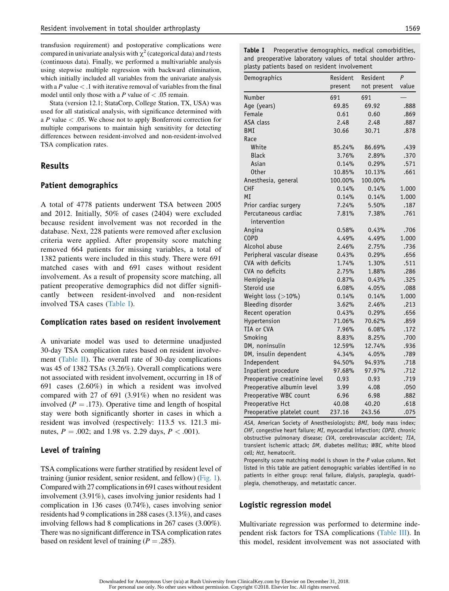transfusion requirement) and postoperative complications were compared in univariate analysis with  $\chi^2$  (categorical data) and t tests (continuous data). Finally, we performed a multivariable analysis using stepwise multiple regression with backward elimination, which initially included all variables from the univariate analysis with a P value  $< 1$  with iterative removal of variables from the final model until only those with a  $P$  value of  $\lt$  .05 remain.

Stata (version 12.1; StataCorp, College Station, TX, USA) was used for all statistical analysis, with significance determined with a P value  $<$  0.05. We chose not to apply Bonferroni correction for multiple comparisons to maintain high sensitivity for detecting differences between resident-involved and non-resident-involved TSA complication rates.

# Results

#### Patient demographics

A total of 4778 patients underwent TSA between 2005 and 2012. Initially, 50% of cases (2404) were excluded because resident involvement was not recorded in the database. Next, 228 patients were removed after exclusion criteria were applied. After propensity score matching removed 664 patients for missing variables, a total of 1382 patients were included in this study. There were 691 matched cases with and 691 cases without resident involvement. As a result of propensity score matching, all patient preoperative demographics did not differ significantly between resident-involved and non-resident involved TSA cases (Table I).

#### Complication rates based on resident involvement

A univariate model was used to determine unadjusted 30-day TSA complication rates based on resident involvement (Table II). The overall rate of 30-day complications was 45 of 1382 TSAs (3.26%). Overall complications were not associated with resident involvement, occurring in 18 of 691 cases (2.60%) in which a resident was involved compared with 27 of 691 (3.91%) when no resident was involved ( $P = .173$ ). Operative time and length of hospital stay were both significantly shorter in cases in which a resident was involved (respectively: 113.5 vs. 121.3 minutes,  $P = .002$ ; and 1.98 vs. 2.29 days,  $P < .001$ ).

# Level of training

TSA complications were further stratified by resident level of training (junior resident, senior resident, and fellow) (Fig. 1). Compared with 27 complications in 691 cases without resident involvement (3.91%), cases involving junior residents had 1 complication in 136 cases (0.74%), cases involving senior residents had 9 complications in 288 cases (3.13%), and cases involving fellows had 8 complications in 267 cases (3.00%). There was no significant difference in TSA complication rates based on resident level of training ( $P = .285$ ).

**Table I** Preoperative demographics, medical comorbidities, and preoperative laboratory values of total shoulder arthroplasty patients based on resident involvement

| Demographics                  | Resident | Resident    | $\overline{P}$ |
|-------------------------------|----------|-------------|----------------|
|                               | present  | not present | value          |
| Number                        | 691      | 691         |                |
| Age (years)                   | 69.85    | 69.92       | .888           |
| Female                        | 0.61     | 0.60        | .869           |
| ASA class                     | 2.48     | 2.48        | .887           |
| BMI                           | 30.66    | 30.71       | .878           |
| Race                          |          |             |                |
| White                         | 85.24%   | 86.69%      | .439           |
| <b>Black</b>                  | 3.76%    | 2.89%       | .370           |
| Asian                         | 0.14%    | 0.29%       | .571           |
| <b>Other</b>                  | 10.85%   | 10.13%      | .661           |
| Anesthesia, general           | 100.00%  | 100.00%     |                |
| CHF                           | 0.14%    | 0.14%       | 1.000          |
| MI                            | 0.14%    | 0.14%       | 1.000          |
| Prior cardiac surgery         | 7.24%    | 5.50%       | .187           |
| Percutaneous cardiac          | 7.81%    | 7.38%       | .761           |
| intervention                  |          |             |                |
| Angina                        | 0.58%    | 0.43%       | .706           |
| <b>COPD</b>                   | 4.49%    | 4.49%       | 1.000          |
| Alcohol abuse                 | 2.46%    | 2.75%       | .736           |
| Peripheral vascular disease   | 0.43%    | 0.29%       | .656           |
| CVA with deficits             | 1.74%    | 1.30%       | .511           |
| CVA no deficits               | 2.75%    | 1.88%       | .286           |
| Hemiplegia                    | 0.87%    | 0.43%       | .325           |
| Steroid use                   | 6.08%    | 4.05%       | .088           |
| Weight loss $(>10\%)$         | 0.14%    | 0.14%       | 1.000          |
| Bleeding disorder             | 3.62%    | 2.46%       | .213           |
| Recent operation              | 0.43%    | 0.29%       | .656           |
| Hypertension                  | 71.06%   | 70.62%      | .859           |
| TIA or CVA                    | 7.96%    | 6.08%       | .172           |
| Smoking                       | 8.83%    | 8.25%       | .700           |
| DM, noninsulin                | 12.59%   | 12.74%      | .936           |
| DM, insulin dependent         | 4.34%    | 4.05%       | .789           |
| Independent                   | 94.50%   | 94.93%      | .718           |
| Inpatient procedure           | 97.68%   | 97.97%      | .712           |
| Preoperative creatinine level | 0.93     | 0.93        | .719           |
| Preoperative albumin level    | 3.99     | 4.08        | .050           |
| Preoperative WBC count        | 6.96     | 6.98        | .882           |
| Preoperative Hct              | 40.08    | 40.20       | .618           |
| Preoperative platelet count   | 237.16   | 243.56      | .075           |

ASA, American Society of Anesthesiologists; BMI, body mass index; CHF, congestive heart failure; MI, myocardial infarction; COPD, chronic obstructive pulmonary disease; CVA, cerebrovascular accident; TIA, transient ischemic attack; DM, diabetes mellitus; WBC, white blood cell; Hct, hematocrit.

Propensity score matching model is shown in the P value column. Not listed in this table are patient demographic variables identified in no patients in either group: renal failure, dialysis, paraplegia, quadriplegia, chemotherapy, and metastatic cancer.

# Logistic regression model

Multivariate regression was performed to determine independent risk factors for TSA complications (Table III). In this model, resident involvement was not associated with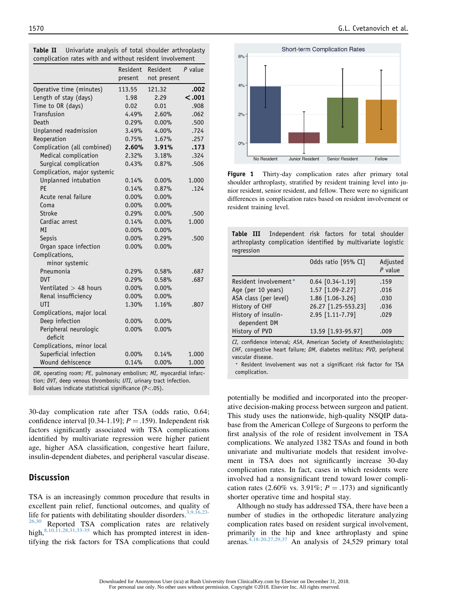| <b>Table II</b> Univariate analysis of total shoulder arthroplasty |
|--------------------------------------------------------------------|
| complication rates with and without resident involvement           |

|                              | Resident | Resident    | P value |
|------------------------------|----------|-------------|---------|
|                              | present  | not present |         |
| Operative time (minutes)     | 113.55   | 121.32      | .002    |
| Length of stay (days)        | 1.98     | 2.29        | < .001  |
| Time to OR (days)            | 0.02     | 0.01        | .908    |
| Transfusion                  | 4.49%    | 2.60%       | .062    |
| Death                        | 0.29%    | 0.00%       | .500    |
| Unplanned readmission        | 3.49%    | 4.00%       | .724    |
| Reoperation                  | 0.75%    | 1.67%       | .257    |
| Complication (all combined)  | 2.60%    | 3.91%       | .173    |
| Medical complication         | 2.32%    | 3.18%       | .324    |
| Surgical complication        | 0.43%    | 0.87%       | .506    |
| Complication, major systemic |          |             |         |
| Unplanned intubation         | 0.14%    | 0.00%       | 1.000   |
| PF                           | 0.14%    | 0.87%       | .124    |
| Acute renal failure          | 0.00%    | 0.00%       |         |
| Coma                         | 0.00%    | 0.00%       |         |
| Stroke                       | 0.29%    | 0.00%       | .500    |
| Cardiac arrest               | 0.14%    | 0.00%       | 1.000   |
| MT                           | 0.00%    | 0.00%       |         |
| Sepsis                       | 0.00%    | 0.29%       | .500    |
| Organ space infection        | 0.00%    | 0.00%       |         |
| Complications,               |          |             |         |
| minor systemic               |          |             |         |
| Pneumonia                    | 0.29%    | 0.58%       | .687    |
| <b>DVT</b>                   | 0.29%    | 0.58%       | .687    |
| Ventilated $>$ 48 hours      | 0.00%    | 0.00%       |         |
| Renal insufficiency          | 0.00%    | 0.00%       |         |
| UTI                          | 1.30%    | 1.16%       | .807    |
| Complications, major local   |          |             |         |
| Deep infection               | 0.00%    | 0.00%       |         |
| Peripheral neurologic        | 0.00%    | 0.00%       |         |
| deficit                      |          |             |         |
| Complications, minor local   |          |             |         |
| Superficial infection        | 0.00%    | 0.14%       | 1.000   |
| Wound dehiscence             | 0.14%    | 0.00%       | 1.000   |

OR, operating room; PE, pulmonary embolism; MI, myocardial infarction; DVT, deep venous thrombosis; UTI, urinary tract infection. Bold values indicate statistical significance (P<.05).

30-day complication rate after TSA (odds ratio, 0.64; confidence interval [0.34-1.19];  $P = .159$ ). Independent risk factors significantly associated with TSA complications identified by multivariate regression were higher patient age, higher ASA classification, congestive heart failure, insulin-dependent diabetes, and peripheral vascular disease.

# **Discussion**

TSA is an increasingly common procedure that results in excellent pain relief, functional outcomes, and quality of life for patients with debilitating shoulder disorders.<sup>3,9,16,23-</sup> <sup>26,30</sup> Reported TSA complication rates are relatively high, $8,10,11,28,31,33-35$  which has prompted interest in identifying the risk factors for TSA complications that could



**Figure 1** Thirty-day complication rates after primary total shoulder arthroplasty, stratified by resident training level into junior resident, senior resident, and fellow. There were no significant differences in complication rates based on resident involvement or resident training level.

|            | Table III Independent risk factors for total shoulder         |  |  |  |
|------------|---------------------------------------------------------------|--|--|--|
|            | arthroplasty complication identified by multivariate logistic |  |  |  |
| regression |                                                               |  |  |  |

|                                                                                                                           | Odds ratio [95% CI] | Adjusted<br>$P$ value |
|---------------------------------------------------------------------------------------------------------------------------|---------------------|-----------------------|
| Resident involvement*                                                                                                     | $0.64$ [0.34-1.19]  | .159                  |
| Age (per 10 years)                                                                                                        | 1.57 [1.09-2.27]    | .016                  |
| ASA class (per level)                                                                                                     | 1.86 [1.06-3.26]    | .030                  |
| History of CHF                                                                                                            | 26.27 [1.25-553.23] | .036                  |
| History of insulin-<br>dependent DM                                                                                       | 2.95 [1.11-7.79]    | .029                  |
| History of PVD                                                                                                            | 13.59 [1.93-95.97]  | .009                  |
| $CT = \text{rank}(A \cup B \cup C)$ is the set of $A \cap A = A \cup C \cup C$ is the set of $A \cup C$ is the set of $C$ |                     |                       |

CI, confidence interval; ASA, American Society of Anesthesiologists; CHF, congestive heart failure; DM, diabetes mellitus; PVD, peripheral vascular disease.

) Resident involvement was not a significant risk factor for TSA complication.

potentially be modified and incorporated into the preoperative decision-making process between surgeon and patient. This study uses the nationwide, high-quality NSQIP database from the American College of Surgeons to perform the first analysis of the role of resident involvement in TSA complications. We analyzed 1382 TSAs and found in both univariate and multivariate models that resident involvement in TSA does not significantly increase 30-day complication rates. In fact, cases in which residents were involved had a nonsignificant trend toward lower complication rates (2.60% vs. 3.91%;  $P = .173$ ) and significantly shorter operative time and hospital stay.

Although no study has addressed TSA, there have been a number of studies in the orthopedic literature analyzing complication rates based on resident surgical involvement, primarily in the hip and knee arthroplasty and spine arenas.<sup>4,18-20,27,29,37</sup> An analysis of 24,529 primary total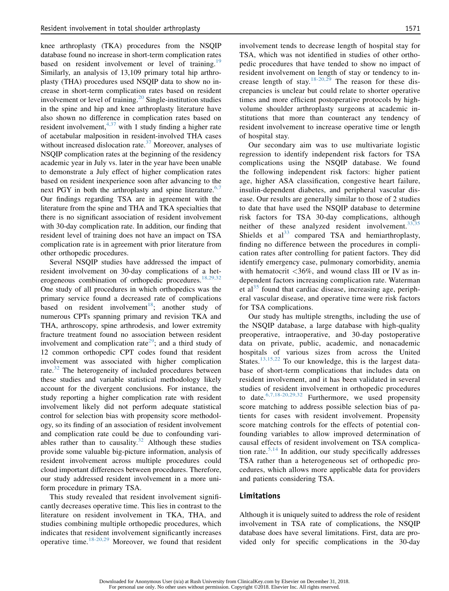knee arthroplasty (TKA) procedures from the NSQIP database found no increase in short-term complication rates based on resident involvement or level of training.<sup>19</sup> Similarly, an analysis of 13,109 primary total hip arthroplasty (THA) procedures used NSQIP data to show no increase in short-term complication rates based on resident involvement or level of training.<sup>20</sup> Single-institution studies in the spine and hip and knee arthroplasty literature have also shown no difference in complication rates based on resident involvement,  $4,37$  with 1 study finding a higher rate of acetabular malposition in resident-involved THA cases without increased dislocation rate.<sup>37</sup> Moreover, analyses of NSQIP complication rates at the beginning of the residency academic year in July vs. later in the year have been unable to demonstrate a July effect of higher complication rates based on resident inexperience soon after advancing to the next PGY in both the arthroplasty and spine literature.<sup>6,7</sup> Our findings regarding TSA are in agreement with the literature from the spine and THA and TKA specialties that there is no significant association of resident involvement with 30-day complication rate. In addition, our finding that resident level of training does not have an impact on TSA complication rate is in agreement with prior literature from other orthopedic procedures.

Several NSQIP studies have addressed the impact of resident involvement on 30-day complications of a heterogeneous combination of orthopedic procedures.<sup>18,29,32</sup> One study of all procedures in which orthopedics was the primary service found a decreased rate of complications based on resident involvement<sup>18</sup>; another study of numerous CPTs spanning primary and revision TKA and THA, arthroscopy, spine arthrodesis, and lower extremity fracture treatment found no association between resident involvement and complication rate<sup>29</sup>; and a third study of 12 common orthopedic CPT codes found that resident involvement was associated with higher complication rate.<sup>32</sup> The heterogeneity of included procedures between these studies and variable statistical methodology likely account for the divergent conclusions. For instance, the study reporting a higher complication rate with resident involvement likely did not perform adequate statistical control for selection bias with propensity score methodology, so its finding of an association of resident involvement and complication rate could be due to confounding variables rather than to causality.<sup>32</sup> Although these studies provide some valuable big-picture information, analysis of resident involvement across multiple procedures could cloud important differences between procedures. Therefore, our study addressed resident involvement in a more uniform procedure in primary TSA.

This study revealed that resident involvement significantly decreases operative time. This lies in contrast to the literature on resident involvement in TKA, THA, and studies combining multiple orthopedic procedures, which indicates that resident involvement significantly increases operative time.18-20,29 Moreover, we found that resident involvement tends to decrease length of hospital stay for TSA, which was not identified in studies of other orthopedic procedures that have tended to show no impact of resident involvement on length of stay or tendency to increase length of stay.<sup>18-20,29</sup> The reason for these discrepancies is unclear but could relate to shorter operative times and more efficient postoperative protocols by highvolume shoulder arthroplasty surgeons at academic institutions that more than counteract any tendency of resident involvement to increase operative time or length of hospital stay.

Our secondary aim was to use multivariate logistic regression to identify independent risk factors for TSA complications using the NSQIP database. We found the following independent risk factors: higher patient age, higher ASA classification, congestive heart failure, insulin-dependent diabetes, and peripheral vascular disease. Our results are generally similar to those of 2 studies to date that have used the NSQIP database to determine risk factors for TSA 30-day complications, although neither of these analyzed resident involvement.  $33,35$ Shields et al<sup>33</sup> compared TSA and hemiarthroplasty, finding no difference between the procedures in complication rates after controlling for patient factors. They did identify emergency case, pulmonary comorbidity, anemia with hematocrit  $<36\%$ , and wound class III or IV as independent factors increasing complication rate. Waterman et al<sup>35</sup> found that cardiac disease, increasing age, peripheral vascular disease, and operative time were risk factors for TSA complications.

Our study has multiple strengths, including the use of the NSQIP database, a large database with high-quality preoperative, intraoperative, and 30-day postoperative data on private, public, academic, and nonacademic hospitals of various sizes from across the United States.<sup>13,15,22</sup> To our knowledge, this is the largest database of short-term complications that includes data on resident involvement, and it has been validated in several studies of resident involvement in orthopedic procedures to date.  $6,7,18-20,29,32$  Furthermore, we used propensity score matching to address possible selection bias of patients for cases with resident involvement. Propensity score matching controls for the effects of potential confounding variables to allow improved determination of causal effects of resident involvement on TSA complication rate.<sup>5,14</sup> In addition, our study specifically addresses TSA rather than a heterogeneous set of orthopedic procedures, which allows more applicable data for providers and patients considering TSA.

# Limitations

Although it is uniquely suited to address the role of resident involvement in TSA rate of complications, the NSQIP database does have several limitations. First, data are provided only for specific complications in the 30-day

Downloaded for Anonymous User (n/a) at Rush University from ClinicalKey.com by Elsevier on December 31, 2018. For personal use only. No other uses without permission. Copyright ©2018. Elsevier Inc. All rights reserved.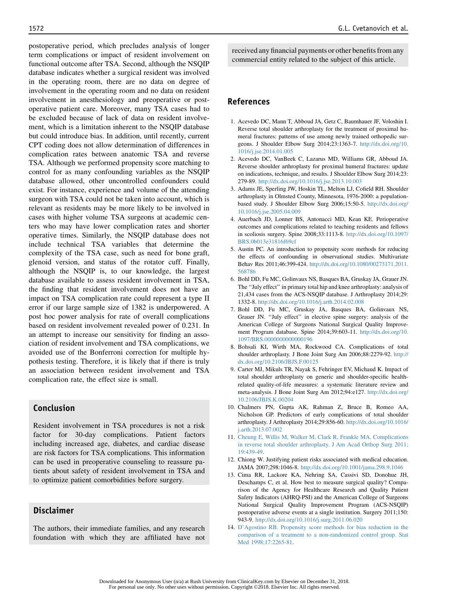postoperative period, which precludes analysis of longer term complications or impact of resident involvement on functional outcome after TSA. Second, although the NSQIP database indicates whether a surgical resident was involved in the operating room, there are no data on degree of involvement in the operating room and no data on resident involvement in anesthesiology and preoperative or postoperative patient care. Moreover, many TSA cases had to be excluded because of lack of data on resident involvement, which is a limitation inherent to the NSQIP database but could introduce bias. In addition, until recently, current CPT coding does not allow determination of differences in complication rates between anatomic TSA and reverse TSA. Although we performed propensity score matching to control for as many confounding variables as the NSQIP database allowed, other uncontrolled confounders could exist. For instance, experience and volume of the attending surgeon with TSA could not be taken into account, which is relevant as residents may be more likely to be involved in cases with higher volume TSA surgeons at academic centers who may have lower complication rates and shorter operative times. Similarly, the NSQIP database does not include technical TSA variables that determine the complexity of the TSA case, such as need for bone graft, glenoid version, and status of the rotator cuff. Finally, although the NSQIP is, to our knowledge, the largest database available to assess resident involvement in TSA, the finding that resident involvement does not have an impact on TSA complication rate could represent a type II error if our large sample size of 1382 is underpowered. A post hoc power analysis for rate of overall complications based on resident involvement revealed power of 0.231. In an attempt to increase our sensitivity for finding an association of resident involvement and TSA complications, we avoided use of the Bonferroni correction for multiple hypothesis testing. Therefore, it is likely that if there is truly an association between resident involvement and TSA complication rate, the effect size is small.

# Conclusion

Resident involvement in TSA procedures is not a risk factor for 30-day complications. Patient factors including increased age, diabetes, and cardiac disease are risk factors for TSA complications. This information can be used in preoperative counseling to reassure patients about safety of resident involvement in TSA and to optimize patient comorbidities before surgery.

# Disclaimer

The authors, their immediate families, and any research foundation with which they are affiliated have not received any financial payments or other benefits from any commercial entity related to the subject of this article.

# References

- 1. Acevedo DC, Mann T, Abboud JA, Getz C, Baumhauer JF, Voloshin I. Reverse total shoulder arthroplasty for the treatment of proximal humeral fractures: patterns of use among newly trained orthopedic surgeons. J Shoulder Elbow Surg 2014;23:1363-7. http://dx.doi.org/10. 1016/j.jse.2014.01.005
- 2. Acevedo DC, VanBeek C, Lazarus MD, Williams GR, Abboud JA. Reverse shoulder arthroplasty for proximal humeral fractures: update on indications, technique, and results. J Shoulder Elbow Surg 2014;23: 279-89. http://dx.doi.org/10.1016/j.jse.2013.10.003
- 3. Adams JE, Sperling JW, Hoskin TL, Melton LJ, Cofield RH. Shoulder arthroplasty in Olmsted County, Minnesota, 1976-2000: a populationbased study. J Shoulder Elbow Surg 2006;15:50-5. http://dx.doi.org/ 10.1016/j.jse.2005.04.009
- 4. Auerbach JD, Lonner BS, Antonacci MD, Kean KE. Perioperative outcomes and complications related to teaching residents and fellows in scoliosis surgery. Spine 2008;33:1113-8. http://dx.doi.org/10.1097/ BRS.0b013e31816f69cf
- 5. Austin PC. An introduction to propensity score methods for reducing the effects of confounding in observational studies. Multivariate Behav Res 2011;46:399-424. http://dx.doi.org/10.1080/00273171.2011. 568786
- 6. Bohl DD, Fu MC, Golinvaux NS, Basques BA, Gruskay JA, Grauer JN. The ''July effect'' in primary total hip and knee arthroplasty: analysis of 21,434 cases from the ACS-NSQIP database. J Arthroplasty 2014;29: 1332-8. http://dx.doi.org/10.1016/j.arth.2014.02.008
- 7. Bohl DD, Fu MC, Gruskay JA, Basques BA, Golinvaux NS, Grauer JN. ''July effect'' in elective spine surgery: analysis of the American College of Surgeons National Surgical Quality Improvement Program database. Spine 2014;39:603-11. http://dx.doi.org/10. 1097/BRS.0000000000000196
- 8. Bohsali KI, Wirth MA, Rockwood CA. Complications of total shoulder arthroplasty. J Bone Joint Surg Am 2006;88:2279-92. http:// dx.doi.org/10.2106/JBJS.F.00125
- 9. Carter MJ, Mikuls TR, Nayak S, Fehringer EV, Michaud K. Impact of total shoulder arthroplasty on generic and shoulder-specific healthrelated quality-of-life measures: a systematic literature review and meta-analysis. J Bone Joint Surg Am 2012;94:e127. http://dx.doi.org/ 10.2106/JBJS.K.00204
- 10. Chalmers PN, Gupta AK, Rahman Z, Bruce B, Romeo AA, Nicholson GP. Predictors of early complications of total shoulder arthroplasty. J Arthroplasty 2014;29:856-60. http://dx.doi.org/10.1016/ j.arth.2013.07.002
- 11. Cheung E, Willis M, Walker M, Clark R, Frankle MA. Complications in reverse total shoulder arthroplasty. J Am Acad Orthop Surg 2011; 19:439-49.
- 12. Chiong W. Justifying patient risks associated with medical education. JAMA 2007;298:1046-8. http://dx.doi.org/10.1001/jama.298.9.1046
- 13. Cima RR, Lackore KA, Nehring SA, Cassivi SD, Donohue JH, Deschamps C, et al. How best to measure surgical quality? Comparison of the Agency for Healthcare Research and Quality Patient Safety Indicators (AHRQ-PSI) and the American College of Surgeons National Surgical Quality Improvement Program (ACS-NSQIP) postoperative adverse events at a single institution. Surgery 2011;150: 943-9. http://dx.doi.org/10.1016/j.surg.2011.06.020
- 14. D'Agostino RB. Propensity score methods for bias reduction in the comparison of a treatment to a non-randomized control group. Stat Med 1998;17:2265-81.